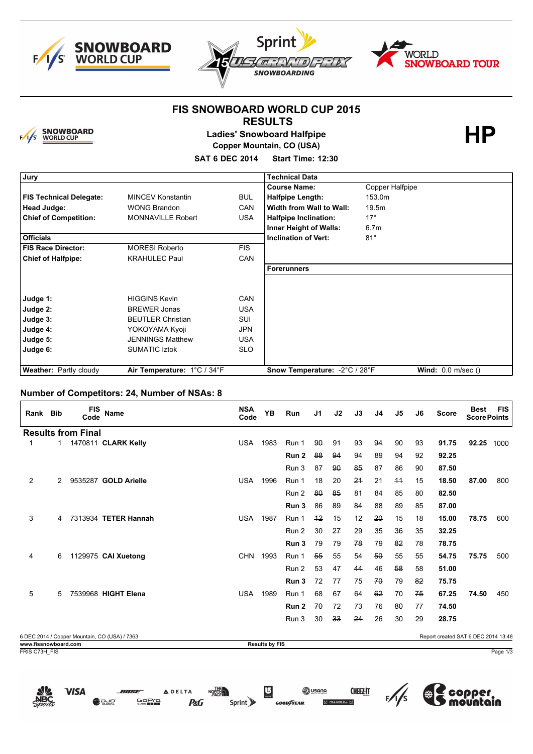





**HP**

### **FIS SNOWBOARD WORLD CUP 2015 RESULTS**



**Ladies' Snowboard Halfpipe Copper Mountain, CO (USA) SAT 6 DEC 2014 Start Time: 12:30**

| Jury                           |                             |            | <b>Technical Data</b>         |                      |
|--------------------------------|-----------------------------|------------|-------------------------------|----------------------|
|                                |                             |            | <b>Course Name:</b>           | Copper Halfpipe      |
| <b>FIS Technical Delegate:</b> | <b>MINCEV Konstantin</b>    | <b>BUL</b> | <b>Halfpipe Length:</b>       | 153.0m               |
| Head Judge:                    | <b>WONG Brandon</b>         | <b>CAN</b> | Width from Wall to Wall:      | 19.5m                |
| <b>Chief of Competition:</b>   | <b>MONNAVILLE Robert</b>    | <b>USA</b> | <b>Halfpipe Inclination:</b>  | $17^\circ$           |
|                                |                             |            | <b>Inner Height of Walls:</b> | 6.7 <sub>m</sub>     |
| <b>Officials</b>               |                             |            | <b>Inclination of Vert:</b>   | $81^\circ$           |
| FIS Race Director:             | <b>MORESI Roberto</b>       | <b>FIS</b> |                               |                      |
| <b>Chief of Halfpipe:</b>      | <b>KRAHULEC Paul</b>        | <b>CAN</b> |                               |                      |
|                                |                             |            | <b>Forerunners</b>            |                      |
|                                |                             |            |                               |                      |
| Judge 1:                       | <b>HIGGINS Kevin</b>        | <b>CAN</b> |                               |                      |
| Judge 2:                       | <b>BREWER Jonas</b>         | <b>USA</b> |                               |                      |
| Judge 3:                       | <b>BEUTLER Christian</b>    | <b>SUI</b> |                               |                      |
| Judge 4:                       | YOKOYAMA Kyoji              | <b>JPN</b> |                               |                      |
| Judge 5:                       | <b>JENNINGS Matthew</b>     | <b>USA</b> |                               |                      |
| Judge 6:                       | <b>SUMATIC Iztok</b>        | <b>SLO</b> |                               |                      |
|                                |                             |            |                               |                      |
| <b>Weather: Partly cloudy</b>  | Air Temperature: 1°C / 34°F |            | Snow Temperature: -2°C / 28°F | Wind: $0.0$ m/sec () |

#### **Number of Competitors: 24, Number of NSAs: 8**

| Rank Bib                              |              | <b>FIS</b><br>Code        | <b>Name</b>                                   | <b>NSA</b><br>Code | <b>YB</b>             | Run   | J1 | J2 | J3 | J4 | J5   | J6 | <b>Score</b>                        | <b>Best</b><br><b>Score Points</b> | <b>FIS</b> |
|---------------------------------------|--------------|---------------------------|-----------------------------------------------|--------------------|-----------------------|-------|----|----|----|----|------|----|-------------------------------------|------------------------------------|------------|
|                                       |              | <b>Results from Final</b> |                                               |                    |                       |       |    |    |    |    |      |    |                                     |                                    |            |
| 1                                     | $\mathbf{1}$ |                           | 1470811 CLARK Kelly                           | <b>USA</b>         | 1983                  | Run 1 | 90 | 91 | 93 | 94 | 90   | 93 | 91.75                               | 92.25                              | 1000       |
|                                       |              |                           |                                               |                    |                       | Run 2 | 88 | 94 | 94 | 89 | 94   | 92 | 92.25                               |                                    |            |
|                                       |              |                           |                                               |                    |                       | Run 3 | 87 | 90 | 85 | 87 | 86   | 90 | 87.50                               |                                    |            |
| 2                                     | 2            |                           | 9535287 GOLD Arielle                          | <b>USA</b>         | 1996                  | Run 1 | 18 | 20 | 24 | 21 | $+4$ | 15 | 18.50                               | 87.00                              | 800        |
|                                       |              |                           |                                               |                    |                       | Run 2 | 80 | 85 | 81 | 84 | 85   | 80 | 82.50                               |                                    |            |
|                                       |              |                           |                                               |                    |                       | Run 3 | 86 | 89 | 84 | 88 | 89   | 85 | 87.00                               |                                    |            |
| 3                                     | 4            |                           | 7313934 TETER Hannah                          | <b>USA</b>         | 1987                  | Run 1 | 42 | 15 | 12 | 20 | 15   | 18 | 15.00                               | 78.75                              | 600        |
|                                       |              |                           |                                               |                    |                       | Run 2 | 30 | 27 | 29 | 35 | 36   | 35 | 32.25                               |                                    |            |
|                                       |              |                           |                                               |                    |                       | Run 3 | 79 | 79 | 78 | 79 | 82   | 78 | 78.75                               |                                    |            |
| 4                                     | 6            |                           | 1129975 CAI Xuetong                           | <b>CHN</b>         | 1993                  | Run 1 | 55 | 55 | 54 | 50 | 55   | 55 | 54.75                               | 75.75                              | 500        |
|                                       |              |                           |                                               |                    |                       | Run 2 | 53 | 47 | 44 | 46 | 58   | 58 | 51.00                               |                                    |            |
|                                       |              |                           |                                               |                    |                       | Run 3 | 72 | 77 | 75 | 70 | 79   | 82 | 75.75                               |                                    |            |
| 5                                     | 5            |                           | 7539968 HIGHT Elena                           | <b>USA</b>         | 1989                  | Run 1 | 68 | 67 | 64 | 62 | 70   | 75 | 67.25                               | 74.50                              | 450        |
|                                       |              |                           |                                               |                    |                       | Run 2 | 70 | 72 | 73 | 76 | 80   | 77 | 74.50                               |                                    |            |
|                                       |              |                           |                                               |                    |                       | Run 3 | 30 | 33 | 24 | 26 | 30   | 29 | 28.75                               |                                    |            |
|                                       |              |                           |                                               |                    |                       |       |    |    |    |    |      |    |                                     |                                    |            |
|                                       |              |                           | 6 DEC 2014 / Copper Mountain, CO (USA) / 7363 |                    |                       |       |    |    |    |    |      |    | Report created SAT 6 DEC 2014 13:48 |                                    |            |
| www.fissnowboard.com<br>FRIS C73H FIS |              |                           |                                               |                    | <b>Results by FIS</b> |       |    |    |    |    |      |    |                                     |                                    | Page 1/3   |
|                                       |              |                           |                                               |                    |                       |       |    |    |    |    |      |    |                                     |                                    |            |

**CHEEZ-IT** 

 $\frac{1}{5}$ 

(※

per

**ON USANA** 

**VISA** 

**GoPro** 

**P&G** 

Sprint y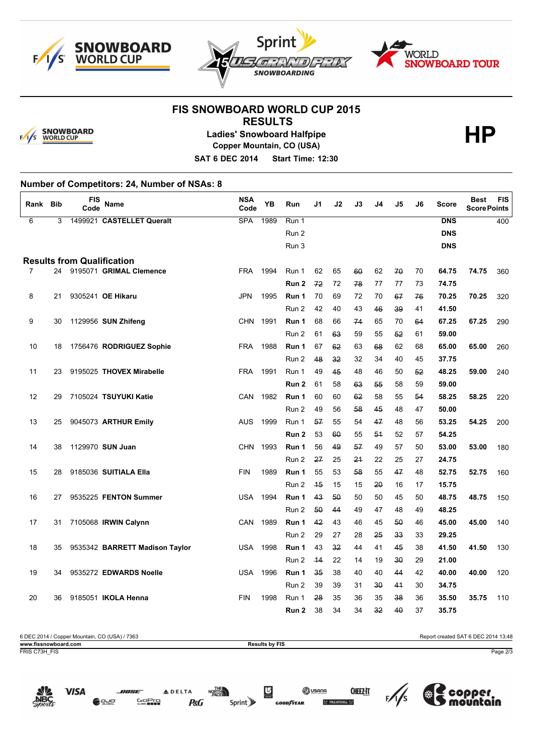





# **FIS SNOWBOARD WORLD CUP 2015**



## **RESULTS Ladies' Snowboard Halfpipe Copper Mountain, CO (USA)**

**HP**

**SAT 6 DEC 2014 Start Time: 12:30**

### **Number of Competitors: 24, Number of NSAs: 8**

| Rank              | Bib | FIS<br>Code | Name                              | <b>NSA</b><br>Code | YB   | Run                       | J1       | J2       | J3       | J4       | J5             | J6       | Score          | <b>Best</b><br><b>Score Points</b> | <b>FIS</b> |
|-------------------|-----|-------------|-----------------------------------|--------------------|------|---------------------------|----------|----------|----------|----------|----------------|----------|----------------|------------------------------------|------------|
| 6                 | 3   |             | 1499921 CASTELLET Queralt         | <b>SPA</b>         | 1989 | Run 1                     |          |          |          |          |                |          | <b>DNS</b>     |                                    | 400        |
|                   |     |             |                                   |                    |      | Run 2                     |          |          |          |          |                |          | <b>DNS</b>     |                                    |            |
|                   |     |             |                                   |                    |      | Run 3                     |          |          |          |          |                |          | <b>DNS</b>     |                                    |            |
|                   |     |             | <b>Results from Qualification</b> |                    |      |                           |          |          |          |          |                |          |                |                                    |            |
| $\overline{7}$    |     |             | 24 9195071 GRIMAL Clemence        | <b>FRA</b>         | 1994 | Run 1                     | 62       | 65       | 60       | 62       | 70             | 70       | 64.75          | 74.75                              | 360        |
|                   |     |             |                                   |                    |      | Run <sub>2</sub>          | 72       | 72       | 78       | 77       | 77             | 73       | 74.75          |                                    |            |
| 8                 | 21  |             | 9305241 OE Hikaru                 | <b>JPN</b>         | 1995 | Run 1                     | 70       | 69       | 72       | 70       | 67             | 76       | 70.25          | 70.25                              | 320        |
|                   |     |             |                                   |                    |      | Run 2                     | 42       | 40       | 43       | 46       | 39             | 41       | 41.50          |                                    |            |
| 9                 | 30  |             | 1129956 SUN Zhifeng               | <b>CHN</b>         | 1991 | Run 1                     | 68       | 66       | 74       | 65       | 70             | 64       | 67.25          | 67.25                              | 290        |
|                   |     |             |                                   |                    |      | Run 2                     | 61       | 63       | 59       | 55       | 52             | 61       | 59.00          |                                    |            |
| 10                | 18  |             | 1756476 RODRIGUEZ Sophie          | <b>FRA</b>         | 1988 | Run 1                     | 67       | 62       | 63       | 68       | 62             | 68       | 65.00          | 65.00                              | 260        |
|                   |     |             |                                   |                    |      | Run 2                     | 48       | 32       | 32       | 34       | 40             | 45       | 37.75          |                                    |            |
| 11                | 23  |             | 9195025 THOVEX Mirabelle          | <b>FRA</b>         | 1991 | Run 1                     | 49       | 45       | 48       | 46       | 50             | 52       | 48.25          | 59.00                              | 240        |
|                   |     |             |                                   |                    |      | Run <sub>2</sub>          | 61       | 58       | 63       | 55       | 58             | 59       | 59.00          |                                    |            |
| $12 \overline{ }$ | 29  |             | 7105024 TSUYUKI Katie             | CAN                | 1982 | Run 1                     | 60       | 60       | 62       | 58       | 55             | 54       | 58.25          | 58.25                              | 220        |
|                   |     |             |                                   |                    |      | Run 2                     | 49       | 56       | 58       | 45       | 48             | 47       | 50.00          |                                    |            |
| 13                | 25  |             | 9045073 ARTHUR Emily              | <b>AUS</b>         | 1999 | Run 1                     | 57       | 55       | 54       | 47       | 48             | 56       | 53.25          | 54.25                              | 200        |
| 14                | 38  |             | 1129970 SUN Juan                  | <b>CHN</b>         | 1993 | Run <sub>2</sub><br>Run 1 | 53<br>56 | 60       | 55       | 54<br>49 | 52<br>57       | 57<br>50 | 54.25<br>53.00 | 53.00                              |            |
|                   |     |             |                                   |                    |      | Run 2                     | 27       | 49<br>25 | 57<br>24 | 22       | 25             | 27       | 24.75          |                                    | 180        |
| 15                | 28  |             | 9185036 SUITIALA Ella             | <b>FIN</b>         | 1989 | Run 1                     | 55       | 53       | 58       | 55       | 47             | 48       | 52.75          | 52.75                              | 160        |
|                   |     |             |                                   |                    |      | Run 2                     | 45       | 15       | 15       | 20       | 16             | 17       | 15.75          |                                    |            |
| 16                | 27  |             | 9535225 FENTON Summer             | <b>USA</b>         | 1994 | Run 1                     | 43       | 50       | 50       | 50       | 45             | 50       | 48.75          | 48.75                              | 150        |
|                   |     |             |                                   |                    |      | Run 2                     | 50       | 44       | 49       | 47       | 48             | 49       | 48.25          |                                    |            |
| 17                | 31  |             | 7105068 IRWIN Calynn              | CAN                | 1989 | Run 1                     | 42       | 43       | 46       | 45       | 50             | 46       | 45.00          | 45.00                              | 140        |
|                   |     |             |                                   |                    |      | Run 2                     | 29       | 27       | 28       | 25       | 33             | 33       | 29.25          |                                    |            |
| 18                | 35  |             | 9535342 BARRETT Madison Taylor    | <b>USA</b>         | 1998 | Run 1                     | 43       | 32       | 44       | 41       | 45             | 38       | 41.50          | 41.50                              | 130        |
|                   |     |             |                                   |                    |      | Run 2                     | 44       | 22       | 14       | 19       | 30             | 29       | 21.00          |                                    |            |
| 19                | 34  |             | 9535272 EDWARDS Noelle            | <b>USA</b>         | 1996 | Run 1                     | 35       | 38       | 40       | 40       | 44             | 42       | 40.00          | 40.00                              | 120        |
|                   |     |             |                                   |                    |      | Run 2                     | 39       | 39       | 31       | 30       | 4 <sup>4</sup> | 30       | 34.75          |                                    |            |
| 20                | 36  |             | 9185051 <b>IKOLA Henna</b>        | <b>FIN</b>         | 1998 | Run 1                     | 28       | 35       | 36       | 35       | 38             | 36       | 35.50          | 35.75                              | 110        |
|                   |     |             |                                   |                    |      | Run 2                     | 38       | 34       | 34       | 32       | 40             | 37       | 35.75          |                                    |            |

15